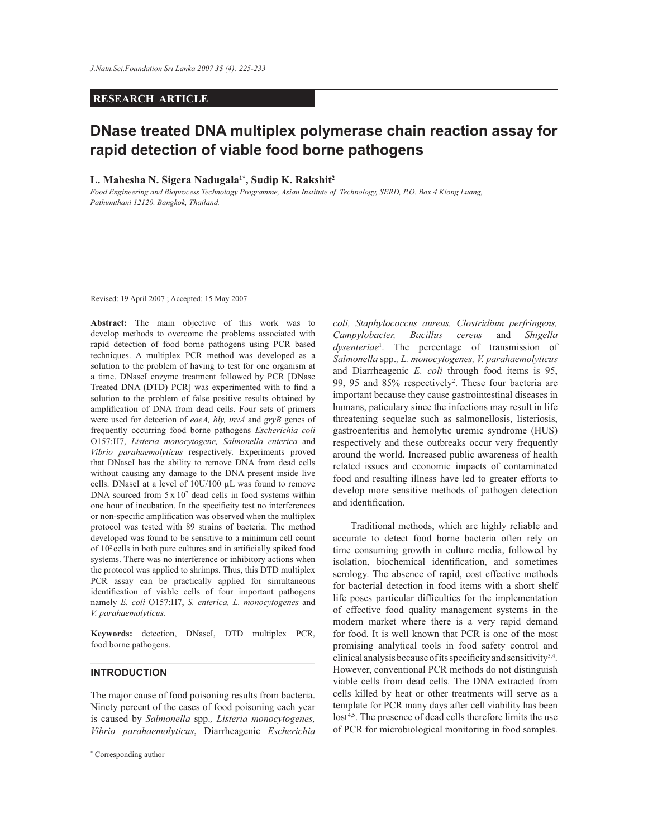# **RESEARCH ARTICLE**

# **DNase treated DNA multiplex polymerase chain reaction assay for rapid detection of viable food borne pathogens**

## **L. Mahesha N. Sigera Nadugala1\*, Sudip K. Rakshit<sup>2</sup>**

*Food Engineering and Bioprocess Technology Programme, Asian Institute of Technology, SERD, P.O. Box 4 Klong Luang, Pathumthani 12120, Bangkok, Thailand.*

Revised: 19 April 2007 ; Accepted: 15 May 2007

**Abstract:** The main objective of this work was to develop methods to overcome the problems associated with rapid detection of food borne pathogens using PCR based techniques. A multiplex PCR method was developed as a solution to the problem of having to test for one organism at a time. DNaseI enzyme treatment followed by PCR [DNase Treated DNA (DTD) PCR] was experimented with to find a solution to the problem of false positive results obtained by amplification of DNA from dead cells. Four sets of primers were used for detection of *eaeA, hly, invA* and *gryB* genes of frequently occurring food borne pathogens *Escherichia coli*  O157:H7, *Listeria monocytogene, Salmonella enterica* and *Vibrio parahaemolyticus* respectively. Experiments proved that DNaseI has the ability to remove DNA from dead cells without causing any damage to the DNA present inside live cells. DNaseI at a level of 10U/100 µL was found to remove DNA sourced from  $5 \times 10^7$  dead cells in food systems within one hour of incubation. In the specificity test no interferences or non-specific amplification was observed when the multiplex protocol was tested with 89 strains of bacteria. The method developed was found to be sensitive to a minimum cell count of 10<sup>2</sup>cells in both pure cultures and in artificially spiked food systems. There was no interference or inhibitory actions when the protocol was applied to shrimps. Thus, this DTD multiplex PCR assay can be practically applied for simultaneous identification of viable cells of four important pathogens namely *E. coli* O157:H7, *S. enterica, L. monocytogenes* and *V. parahaemolyticus.* 

**Keywords:** detection, DNaseI, DTD multiplex PCR, food borne pathogens.

## **INTRODUCTION**

The major cause of food poisoning results from bacteria. Ninety percent of the cases of food poisoning each year is caused by *Salmonella* spp.*, Listeria monocytogenes, Vibrio parahaemolyticus*, Diarrheagenic *Escherichia*  *coli, Staphylococcus aureus, Clostridium perfringens, Campylobacter, Bacillus cereus* and *Shigella dysenteriae*<sup>1</sup> . The percentage of transmission of *Salmonella* spp.*, L. monocytogenes, V. parahaemolyticus* and Diarrheagenic *E. coli* through food items is 95, 99, 95 and 85% respectively<sup>2</sup>. These four bacteria are important because they cause gastrointestinal diseases in humans, paticulary since the infections may result in life threatening sequelae such as salmonellosis, listeriosis, gastroenteritis and hemolytic uremic syndrome (HUS) respectively and these outbreaks occur very frequently around the world. Increased public awareness of health related issues and economic impacts of contaminated food and resulting illness have led to greater efforts to develop more sensitive methods of pathogen detection and identification.

 Traditional methods, which are highly reliable and accurate to detect food borne bacteria often rely on time consuming growth in culture media, followed by isolation, biochemical identification, and sometimes serology. The absence of rapid, cost effective methods for bacterial detection in food items with a short shelf life poses particular difficulties for the implementation of effective food quality management systems in the modern market where there is a very rapid demand for food. It is well known that PCR is one of the most promising analytical tools in food safety control and clinical analysis because of its specificity and sensitivity<sup>3,4</sup>. However, conventional PCR methods do not distinguish viable cells from dead cells. The DNA extracted from cells killed by heat or other treatments will serve as a template for PCR many days after cell viability has been lost<sup>4,5</sup>. The presence of dead cells therefore limits the use of PCR for microbiological monitoring in food samples.

*Journal of the National Science Foundation of Sri Lanka 35 (4) December 2007* \* Corresponding author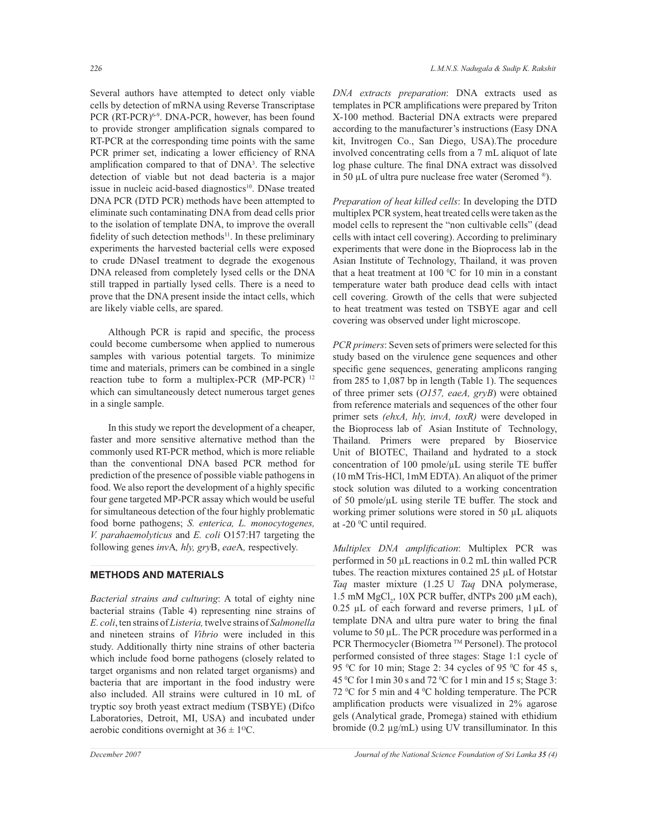Several authors have attempted to detect only viable cells by detection of mRNA using Reverse Transcriptase PCR (RT-PCR)<sup>6-9</sup>. DNA-PCR, however, has been found to provide stronger amplification signals compared to RT-PCR at the corresponding time points with the same PCR primer set, indicating a lower efficiency of RNA amplification compared to that of DNA<sup>3</sup> . The selective detection of viable but not dead bacteria is a major issue in nucleic acid-based diagnostics<sup>10</sup>. DNase treated DNA PCR (DTD PCR) methods have been attempted to eliminate such contaminating DNA from dead cells prior to the isolation of template DNA, to improve the overall fidelity of such detection methods<sup>11</sup>. In these preliminary experiments the harvested bacterial cells were exposed to crude DNaseI treatment to degrade the exogenous DNA released from completely lysed cells or the DNA still trapped in partially lysed cells. There is a need to prove that the DNA present inside the intact cells, which are likely viable cells, are spared.

 Although PCR is rapid and specific, the process could become cumbersome when applied to numerous samples with various potential targets. To minimize time and materials, primers can be combined in a single reaction tube to form a multiplex-PCR (MP-PCR)<sup>12</sup> which can simultaneously detect numerous target genes in a single sample.

 In this study we report the development of a cheaper, faster and more sensitive alternative method than the commonly used RT-PCR method, which is more reliable than the conventional DNA based PCR method for prediction of the presence of possible viable pathogens in food. We also report the development of a highly specific four gene targeted MP-PCR assay which would be useful for simultaneous detection of the four highly problematic food borne pathogens; *S. enterica, L. monocytogenes, V. parahaemolyticus* and *E. coli* O157:H7 targeting the following genes *inv*A*, hly, gry*B, *eae*A*,* respectively.

# **METHODS AND MATERIALS**

*Bacterial strains and culturing*: A total of eighty nine bacterial strains (Table 4) representing nine strains of *E. coli*, ten strains of *Listeria,* twelve strains of *Salmonella* and nineteen strains of *Vibrio* were included in this study. Additionally thirty nine strains of other bacteria which include food borne pathogens (closely related to target organisms and non related target organisms) and bacteria that are important in the food industry were also included. All strains were cultured in 10 mL of tryptic soy broth yeast extract medium (TSBYE) (Difco Laboratories, Detroit, MI, USA) and incubated under aerobic conditions overnight at  $36 \pm 1$ <sup>o</sup>C.

*DNA extracts preparation*: DNA extracts used as templates in PCR amplifications were prepared by Triton X-100 method. Bacterial DNA extracts were prepared according to the manufacturer's instructions (Easy DNA kit, Invitrogen Co., San Diego, USA).The procedure involved concentrating cells from a 7 mL aliquot of late log phase culture. The final DNA extract was dissolved in 50  $\mu$ L of ultra pure nuclease free water (Seromed ®).

*Preparation of heat killed cells*: In developing the DTD multiplex PCR system, heat treated cells were taken as the model cells to represent the "non cultivable cells" (dead cells with intact cell covering). According to preliminary experiments that were done in the Bioprocess lab in the Asian Institute of Technology, Thailand, it was proven that a heat treatment at 100  $^{\circ}$ C for 10 min in a constant temperature water bath produce dead cells with intact cell covering. Growth of the cells that were subjected to heat treatment was tested on TSBYE agar and cell covering was observed under light microscope.

*PCR primers*: Seven sets of primers were selected for this study based on the virulence gene sequences and other specific gene sequences, generating amplicons ranging from 285 to 1,087 bp in length (Table 1). The sequences of three primer sets (*O157, eaeA, gryB*) were obtained from reference materials and sequences of the other four primer sets *(ehxA, hly, invA, toxR)* were developed in the Bioprocess lab of Asian Institute of Technology, Thailand. Primers were prepared by Bioservice Unit of BIOTEC, Thailand and hydrated to a stock concentration of 100 pmole/ $\mu$ L using sterile TE buffer (10 mM Tris-HCl, 1mM EDTA). An aliquot of the primer stock solution was diluted to a working concentration of 50 pmole/µL using sterile TE buffer. The stock and working primer solutions were stored in 50 µL aliquots at -20 °C until required.

*Multiplex DNA amplification*: Multiplex PCR was performed in 50 µL reactions in 0.2 mL thin walled PCR tubes. The reaction mixtures contained 25 µL of Hotstar *Taq* master mixture (1.25 U *Taq* DNA polymerase, 1.5 mM  $MgCl_2$ , 10X PCR buffer, dNTPs 200  $\mu$ M each),  $0.25 \mu L$  of each forward and reverse primers,  $1 \mu L$  of template DNA and ultra pure water to bring the final volume to 50 µL. The PCR procedure was performed in a PCR Thermocycler (Biometra ™ Personel). The protocol performed consisted of three stages: Stage 1:1 cycle of 95 °C for 10 min; Stage 2: 34 cycles of 95 °C for 45 s, 45 <sup>0</sup>C for 1 min 30 s and 72 <sup>0</sup>C for 1 min and 15 s; Stage 3: 72  $\rm{^0C}$  for 5 min and 4  $\rm{^0C}$  holding temperature. The PCR amplification products were visualized in 2% agarose gels (Analytical grade, Promega) stained with ethidium bromide (0.2 µg/mL) using UV transilluminator. In this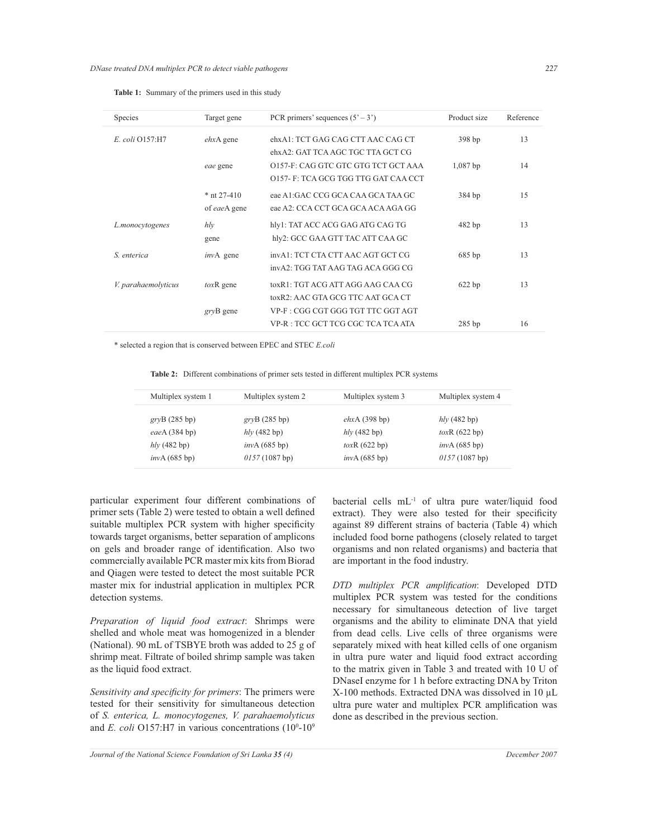| Species             | Target gene   | PCR primers' sequences $(5' - 3')$  | Product size | Reference |
|---------------------|---------------|-------------------------------------|--------------|-----------|
| E. coli Q157:H7     | $ehxA$ gene   | ehxA1: TCT GAG CAG CTT AAC CAG CT   | 398 bp       | 13        |
|                     |               | ehxA2: GAT TCA AGC TGC TTA GCT CG   |              |           |
|                     | eae gene      | 0157-F: CAG GTC GTC GTG TCT GCT AAA | $1,087$ bp   | 14        |
|                     |               | 0157-F: TCA GCG TGG TTG GAT CAA CCT |              |           |
|                     | $*$ nt 27-410 | eae A1:GAC CCG GCA CAA GCA TAA GC   | 384 bp       | 15        |
|                     | of eaeA gene  | eae A2: CCA CCT GCA GCA ACA AGA GG  |              |           |
| L.monocytogenes     | h/v           | hly1: TAT ACC ACG GAG ATG CAG TG    | 482 bp       | 13        |
|                     | gene          | hly2: GCC GAA GTT TAC ATT CAA GC    |              |           |
| S. enterica         | invA gene     | invA1: TCT CTA CTT AAC AGT GCT CG   | 685 bp       | 13        |
|                     |               | invA2: TGG TAT AAG TAG ACA GGG CG   |              |           |
| V. parahaemolyticus | $toxR$ gene   | toxR1: TGT ACG ATT AGG AAG CAA CG   | 622 bp       | 13        |
|                     |               | toxR2: AAC GTA GCG TTC AAT GCA CT   |              |           |
|                     | gryB gene     | VP-F : CGG CGT GGG TGT TTC GGT AGT  |              |           |
|                     |               | VP-R : TCC GCT TCG CGC TCA TCA ATA  | $285$ bp     | 16        |

\* selected a region that is conserved between EPEC and STEC *E.coli*

 **Table 2:** Different combinations of primer sets tested in different multiplex PCR systems

| Multiplex system 1 | Multiplex system 2 | Multiplex system 3 | Multiplex system 4 |
|--------------------|--------------------|--------------------|--------------------|
| grvB(285 bp)       | grvB(285 bp)       | ehxA(398 bp)       | $h/v$ (482 bp)     |
| eae $A(384 bp)$    | $h/v$ (482 bp)     | $h/v$ (482 bp)     | $toxR$ (622 bp)    |
| $h/v$ (482 bp)     | invA(685 bp)       | $toxR$ (622 bp)    | invA(685 bp)       |
| invA(685 bp)       | 0157(1087 bp)      | invA(685 bp)       | 0157(1087 bp)      |

particular experiment four different combinations of primer sets (Table 2) were tested to obtain a well defined suitable multiplex PCR system with higher specificity towards target organisms, better separation of amplicons on gels and broader range of identification. Also two commercially available PCR master mix kits from Biorad and Qiagen were tested to detect the most suitable PCR master mix for industrial application in multiplex PCR detection systems.

*Preparation of liquid food extract*: Shrimps were shelled and whole meat was homogenized in a blender (National). 90 mL of TSBYE broth was added to 25 g of shrimp meat. Filtrate of boiled shrimp sample was taken as the liquid food extract.

*Sensitivity and specificity for primers*: The primers were tested for their sensitivity for simultaneous detection of *S. enterica, L. monocytogenes, V. parahaemolyticus* and *E. coli* O157:H7 in various concentrations  $(10^0-10^9)$ 

bacterial cells mL-1 of ultra pure water/liquid food extract). They were also tested for their specificity against 89 different strains of bacteria (Table 4) which included food borne pathogens (closely related to target organisms and non related organisms) and bacteria that are important in the food industry.

*DTD multiplex PCR amplification*: Developed DTD multiplex PCR system was tested for the conditions necessary for simultaneous detection of live target organisms and the ability to eliminate DNA that yield from dead cells. Live cells of three organisms were separately mixed with heat killed cells of one organism in ultra pure water and liquid food extract according to the matrix given in Table 3 and treated with 10 U of DNaseI enzyme for 1 h before extracting DNA by Triton X-100 methods. Extracted DNA was dissolved in 10 µL ultra pure water and multiplex PCR amplification was done as described in the previous section.

*Journal of the National Science Foundation of Sri Lanka 35 (4) December 2007*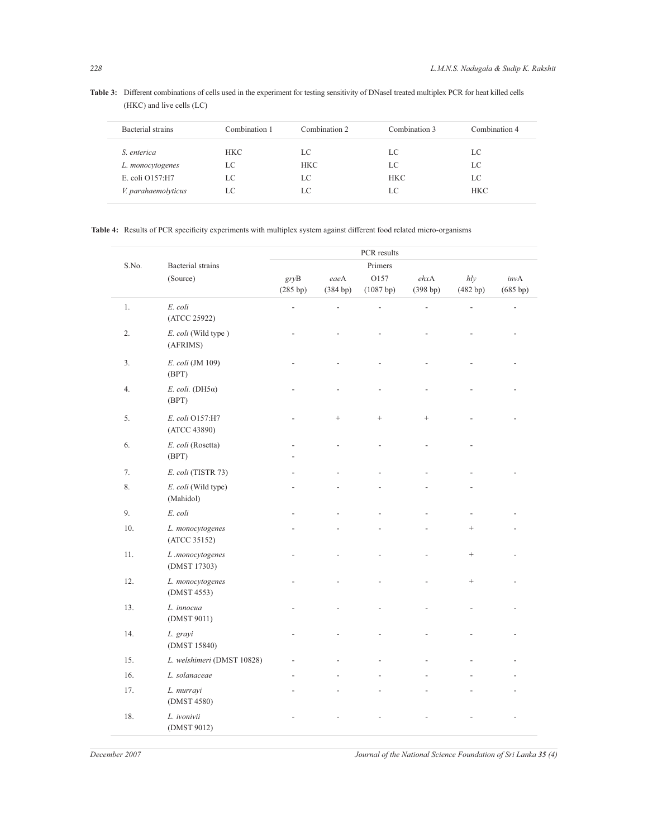(HKC) and live cells (LC) Bacterial strains Combination 1 Combination 2 Combination 3 Combination 4

Table 3: Different combinations of cells used in the experiment for testing sensitivity of DNaseI treated multiplex PCR for heat killed cells

| Bacterial strains   | Combination 1 | Combination 2 | Combination 3 | Combination 4 |
|---------------------|---------------|---------------|---------------|---------------|
| S. enterica         | <b>HKC</b>    | LC            | LC            | LC            |
| L. monocytogenes    | LC            | <b>HKC</b>    | LC            | LC            |
| E. coli O157:H7     | LC            | LC            | <b>HKC</b>    | LC            |
| V. parahaemolyticus | LC            | LC            |               | <b>HKC</b>    |

**Table 4:** Results of PCR specificity experiments with multiplex system against different food related micro-organisms

| S.No.   |                                      | PCR results      |                  |                   |                             |                   |                          |
|---------|--------------------------------------|------------------|------------------|-------------------|-----------------------------|-------------------|--------------------------|
|         | <b>Bacterial</b> strains<br>(Source) |                  |                  | Primers           |                             |                   |                          |
|         |                                      | gryB<br>(285 bp) | eaeA<br>(384 bp) | O157<br>(1087 bp) | $ehx\mathbf{A}$<br>(398 bp) | h l v<br>(482 bp) | invA<br>(685 bp)         |
| $1. \,$ | E. coli<br>(ATCC 25922)              | $\overline{a}$   | $\overline{a}$   | $\overline{a}$    | L,                          |                   | $\overline{\phantom{0}}$ |
| 2.      | E. coli (Wild type)<br>(AFRIMS)      |                  |                  |                   |                             |                   |                          |
| 3.      | E. coli (JM 109)<br>(BPT)            |                  |                  |                   |                             |                   |                          |
| 4.      | $E.$ coli. (DH5 $\alpha$ )<br>(BPT)  |                  |                  |                   |                             |                   |                          |
| 5.      | E. coli O157:H7<br>(ATCC 43890)      |                  | $^{+}$           |                   |                             |                   |                          |
| 6.      | E. coli (Rosetta)<br>(BPT)           |                  |                  |                   |                             |                   |                          |
| 7.      | E. coli (TISTR 73)                   |                  |                  |                   |                             |                   |                          |
| 8.      | E. coli (Wild type)<br>(Mahidol)     |                  |                  |                   |                             |                   |                          |
| 9.      | E. coli                              |                  |                  |                   |                             |                   |                          |
| 10.     | L. monocytogenes<br>(ATCC 35152)     |                  |                  |                   |                             |                   |                          |
| 11.     | L.monocytogenes<br>(DMST 17303)      |                  |                  |                   |                             |                   |                          |
| 12.     | L. monocytogenes<br>(DMST 4553)      |                  |                  |                   | ÷                           |                   |                          |
| 13.     | L. innocua<br>(DMST 9011)            |                  |                  |                   | $\overline{a}$              |                   |                          |
| 14.     | L. grayi<br>(DMST 15840)             |                  |                  |                   |                             |                   |                          |
| 15.     | L. welshimeri (DMST 10828)           |                  |                  |                   |                             |                   |                          |
| 16.     | L. solanaceae                        |                  |                  |                   |                             |                   |                          |
| 17.     | L. murrayi<br>(DMST 4580)            |                  |                  |                   |                             |                   |                          |
| 18.     | L. ivonivii<br>(DMST 9012)           |                  |                  |                   |                             |                   |                          |

*December 2007 Journal of the National Science Foundation of Sri Lanka 35 (4)*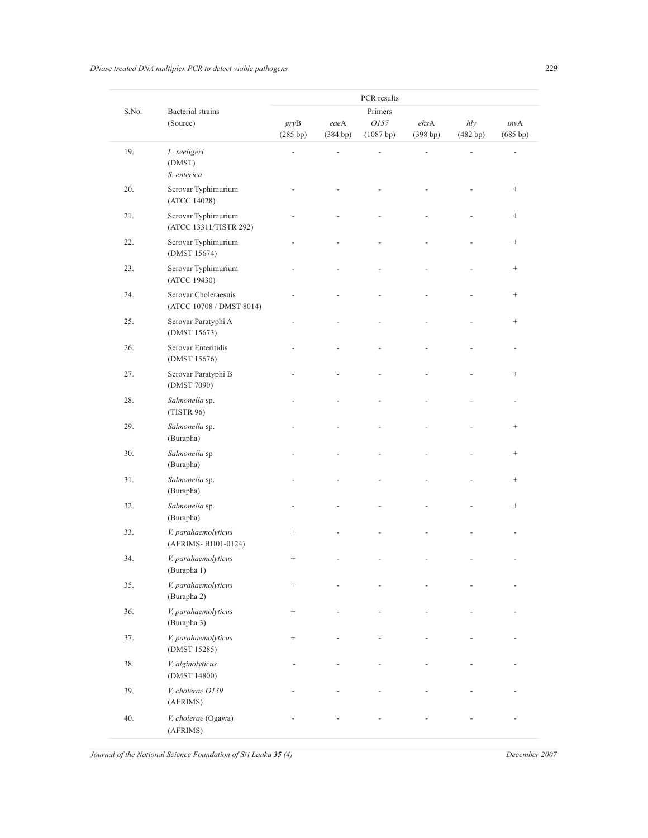*DNase treated DNA multiplex PCR to detect viable pathogens 229*

| S.No. | <b>Bacterial</b> strains<br>(Source)             | PCR results<br>Primers |          |                   |          |          |                 |
|-------|--------------------------------------------------|------------------------|----------|-------------------|----------|----------|-----------------|
|       |                                                  | gryB                   | eaeA     | ehxA              | hly      | invA     |                 |
|       |                                                  | (285 bp)               | (384 bp) | 0157<br>(1087 bp) | (398 bp) | (482 bp) | (685 bp)        |
| 19.   | L. seeligeri<br>(DMST)<br>S. enterica            | L,                     |          |                   |          |          |                 |
| 20.   | Serovar Typhimurium<br>(ATCC 14028)              |                        |          |                   |          |          | $\! + \!\!\!\!$ |
| 21.   | Serovar Typhimurium<br>(ATCC 13311/TISTR 292)    |                        |          |                   |          |          | $\! + \!\!\!\!$ |
| 22.   | Serovar Typhimurium<br>(DMST 15674)              |                        |          |                   |          |          | $\! + \!\!\!\!$ |
| 23.   | Serovar Typhimurium<br>(ATCC 19430)              |                        |          |                   |          |          | $+$             |
| 24.   | Serovar Choleraesuis<br>(ATCC 10708 / DMST 8014) |                        |          |                   |          |          | $\! + \!\!\!\!$ |
| 25.   | Serovar Paratyphi A<br>(DMST 15673)              |                        |          |                   |          |          | $\! + \!\!\!\!$ |
| 26.   | Serovar Enteritidis<br>(DMST 15676)              |                        |          |                   |          |          |                 |
| 27.   | Serovar Paratyphi B<br>(DMST 7090)               |                        |          |                   |          |          | $^{+}$          |
| 28.   | Salmonella sp.<br>(TISTR 96)                     |                        |          |                   |          |          |                 |
| 29.   | Salmonella sp.<br>(Burapha)                      |                        |          |                   |          |          | $\! + \!\!\!\!$ |
| 30.   | Salmonella sp<br>(Burapha)                       |                        |          |                   |          |          | $\! + \!\!\!\!$ |
| 31.   | Salmonella sp.<br>(Burapha)                      |                        |          |                   |          |          | $^+$            |
| 32.   | Salmonella sp.<br>(Burapha)                      |                        |          |                   |          |          | $\! + \!\!\!\!$ |
| 33.   | V. parahaemolyticus<br>(AFRIMS-BH01-0124)        | $^+$                   |          |                   |          |          |                 |
| 34.   | V. parahaemolyticus<br>(Burapha 1)               | $^{+}$                 |          |                   |          |          |                 |
| 35.   | V. parahaemolyticus<br>(Burapha 2)               | $\! + \!$              |          |                   |          |          |                 |
| 36.   | V. parahaemolyticus<br>(Burapha 3)               | $\! + \!$              |          |                   |          |          |                 |
| 37.   | V. parahaemolyticus<br>(DMST 15285)              | $\! + \!\!\!\!$        |          |                   |          |          |                 |
| 38.   | V. alginolyticus<br>(DMST 14800)                 |                        |          |                   |          |          |                 |
| 39.   | V. cholerae O139<br>(AFRIMS)                     |                        |          |                   |          |          |                 |
| 40.   | V. cholerae (Ogawa)<br>(AFRIMS)                  |                        |          |                   |          |          |                 |

*Journal of the National Science Foundation of Sri Lanka 35 (4) December 2007*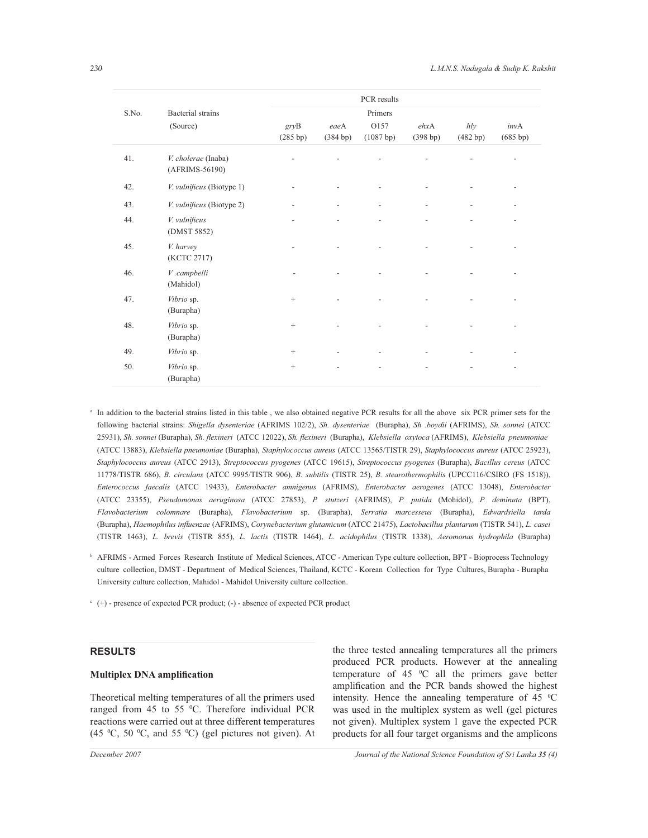| S.No. | Bacterial strains                     |                          | PCR results<br>Primers   |                   |                  |                          |                          |
|-------|---------------------------------------|--------------------------|--------------------------|-------------------|------------------|--------------------------|--------------------------|
|       | (Source)                              | gryB<br>(285 bp)         | eaeA<br>(384 bp)         | O157<br>(1087 bp) | ehxA<br>(398 bp) | h/v<br>(482 bp)          | invA<br>(685 bp)         |
| 41.   | V. cholerae (Inaba)<br>(AFRIMS-56190) |                          |                          |                   |                  |                          | $\overline{\phantom{0}}$ |
| 42.   | V. vulnificus (Biotype 1)             | $\overline{a}$           |                          |                   |                  |                          | $\overline{\phantom{a}}$ |
| 43.   | V. vulnificus (Biotype 2)             | $\overline{\phantom{a}}$ | $\overline{\phantom{a}}$ |                   |                  | $\overline{\phantom{a}}$ | $\overline{\phantom{a}}$ |
| 44.   | V. vulnificus<br>(DMST 5852)          | $\overline{a}$           |                          |                   |                  |                          | $\overline{\phantom{0}}$ |
| 45.   | V. harvey<br>(KCTC 2717)              |                          |                          |                   |                  |                          |                          |
| 46.   | $V$ .campbelli<br>(Mahidol)           |                          |                          |                   |                  |                          |                          |
| 47.   | Vibrio sp.<br>(Burapha)               | $^{+}$                   |                          |                   |                  |                          |                          |
| 48.   | Vibrio sp.<br>(Burapha)               | $^{+}$                   |                          |                   |                  |                          |                          |
| 49.   | Vibrio sp.                            | $^{+}$                   | $\overline{a}$           |                   |                  |                          |                          |
| 50.   | Vibrio sp.<br>(Burapha)               | $\! +$                   | $\overline{a}$           |                   |                  | $\overline{a}$           | $\overline{a}$           |

a In addition to the bacterial strains listed in this table , we also obtained negative PCR results for all the above six PCR primer sets for the following bacterial strains: *Shigella dysenteriae* (AFRIMS 102/2), *Sh. dysenteriae* (Burapha), *Sh .boydii* (AFRIMS), *Sh. sonnei* (ATCC 25931), *Sh. sonnei* (Burapha), *Sh. flexineri* (ATCC 12022), *Sh. flexineri* (Burapha), *Klebsiella oxytoca* (AFRIMS), *Klebsiella pneumoniae*  (ATCC 13883), *Klebsiella pneumoniae* (Burapha), *Staphylococcus aureus* (ATCC 13565/TISTR 29), *Staphylococcus aureus* (ATCC 25923), *Staphylococcus aureus* (ATCC 2913), *Streptococcus pyogenes* (ATCC 19615), *Streptococcus pyogenes* (Burapha), *Bacillus cereus* (ATCC 11778/TISTR 686), *B. circulans* (ATCC 9995/TISTR 906), *B. subtilis* (TISTR 25), *B. stearothermophilis* (UPCC116/CSIRO (FS 1518)), *Enterococcus faecalis* (ATCC 19433), *Enterobacter amnigenus* (AFRIMS), *Enterobacter aerogenes* (ATCC 13048), *Enterobacter*  (ATCC 23355), *Pseudomonas aeruginosa* (ATCC 27853), *P. stutzeri* (AFRIMS), *P. putida* (Mohidol), *P. deminuta* (BPT), *Flavobacterium colomnare* (Burapha), *Flavobacterium* sp. (Burapha), *Serratia marcesseus* (Burapha), *Edwardsiella tarda*  (Burapha), *Haemophilus influenzae* (AFRIMS), *Corynebacterium glutamicum* (ATCC 21475), *Lactobacillus plantarum* (TISTR 541), *L. casei*  (TISTR 1463), *L. brevis* (TISTR 855), *L. lactis* (TISTR 1464), *L. acidophilus* (TISTR 1338), *Aeromonas hydrophila* (Burapha)

- **b** AFRIMS Armed Forces Research Institute of Medical Sciences, ATCC American Type culture collection, BPT Bioprocess Technology culture collection, DMST - Department of Medical Sciences, Thailand, KCTC - Korean Collection for Type Cultures, Burapha - Burapha University culture collection, Mahidol - Mahidol University culture collection.
- $c$  (+) presence of expected PCR product; (-) absence of expected PCR product

# **RESULTS**

#### **Multiplex DNA amplification**

Theoretical melting temperatures of all the primers used ranged from 45 to 55 °C. Therefore individual PCR reactions were carried out at three different temperatures (45  $^{\circ}$ C, 50  $^{\circ}$ C, and 55  $^{\circ}$ C) (gel pictures not given). At the three tested annealing temperatures all the primers produced PCR products. However at the annealing temperature of  $45\degree\text{C}$  all the primers gave better amplification and the PCR bands showed the highest intensity. Hence the annealing temperature of  $45 \degree C$ was used in the multiplex system as well (gel pictures not given). Multiplex system 1 gave the expected PCR products for all four target organisms and the amplicons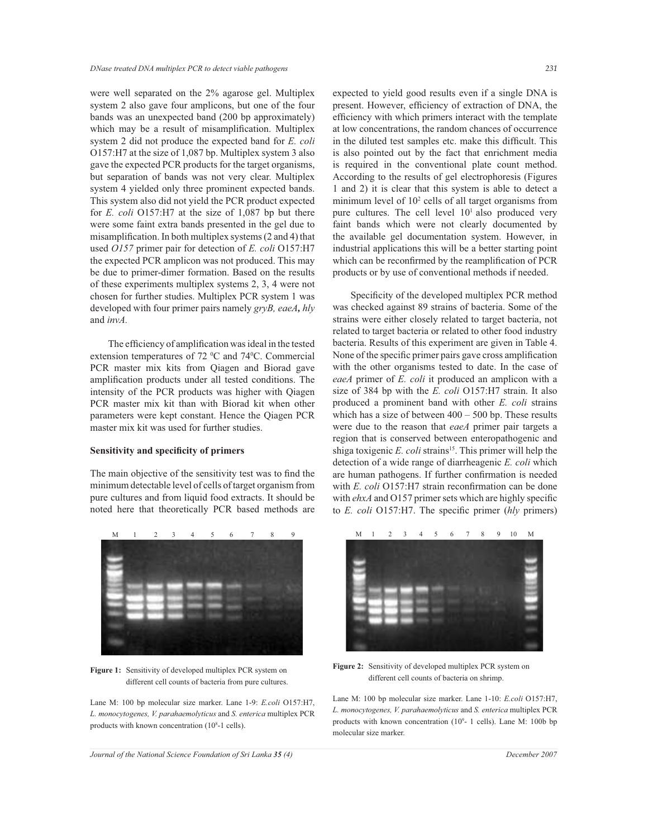were well separated on the 2% agarose gel. Multiplex system 2 also gave four amplicons, but one of the four bands was an unexpected band (200 bp approximately) which may be a result of misamplification. Multiplex system 2 did not produce the expected band for *E. coli* O157:H7 at the size of 1,087 bp. Multiplex system 3 also gave the expected PCR products for the target organisms, but separation of bands was not very clear. Multiplex system 4 yielded only three prominent expected bands. This system also did not yield the PCR product expected for *E. coli* O157:H7 at the size of 1,087 bp but there were some faint extra bands presented in the gel due to misamplification. In both multiplex systems (2 and 4) that used *O157* primer pair for detection of *E. coli* O157:H7 the expected PCR amplicon was not produced. This may be due to primer-dimer formation. Based on the results of these experiments multiplex systems 2, 3, 4 were not chosen for further studies. Multiplex PCR system 1 was developed with four primer pairs namely *gryB, eaeA, hly*  and *invA.*

 The efficiency of amplification was ideal in the tested extension temperatures of 72 °C and 74°C. Commercial PCR master mix kits from Qiagen and Biorad gave amplification products under all tested conditions. The intensity of the PCR products was higher with Qiagen PCR master mix kit than with Biorad kit when other parameters were kept constant. Hence the Qiagen PCR master mix kit was used for further studies.

## **Sensitivity and specificity of primers**

The main objective of the sensitivity test was to find the minimum detectable level of cells of target organism from pure cultures and from liquid food extracts. It should be noted here that theoretically PCR based methods are



**Figure 1:** Sensitivity of developed multiplex PCR system on different cell counts of bacteria from pure cultures.

Lane M: 100 bp molecular size marker. Lane 1-9: *E.coli* O157:H7, *L. monocytogenes, V. parahaemolyticus* and *S. enterica* multiplex PCR products with known concentration (10<sup>8</sup> -1 cells).

expected to yield good results even if a single DNA is present. However, efficiency of extraction of DNA, the efficiency with which primers interact with the template at low concentrations, the random chances of occurrence in the diluted test samples etc. make this difficult. This is also pointed out by the fact that enrichment media is required in the conventional plate count method. According to the results of gel electrophoresis (Figures 1 and 2) it is clear that this system is able to detect a minimum level of  $10<sup>2</sup>$  cells of all target organisms from pure cultures. The cell level  $10<sup>1</sup>$  also produced very faint bands which were not clearly documented by the available gel documentation system. However, in industrial applications this will be a better starting point which can be reconfirmed by the reamplification of PCR products or by use of conventional methods if needed.

 Specificity of the developed multiplex PCR method was checked against 89 strains of bacteria. Some of the strains were either closely related to target bacteria, not related to target bacteria or related to other food industry bacteria. Results of this experiment are given in Table 4. None of the specific primer pairs gave cross amplification with the other organisms tested to date. In the case of *eaeA* primer of *E. coli* it produced an amplicon with a size of 384 bp with the *E. coli* O157:H7 strain. It also produced a prominent band with other *E. coli* strains which has a size of between  $400 - 500$  bp. These results were due to the reason that *eaeA* primer pair targets a region that is conserved between enteropathogenic and shiga toxigenic *E. coli* strains<sup>15</sup>. This primer will help the detection of a wide range of diarrheagenic *E. coli* which are human pathogens. If further confirmation is needed with *E. coli* O157:H7 strain reconfirmation can be done with *ehxA* and O157 primer sets which are highly specific to *E. coli* O157:H7. The specific primer (*hly* primers)



**Figure 2:** Sensitivity of developed multiplex PCR system on different cell counts of bacteria on shrimp.

Lane M: 100 bp molecular size marker. Lane 1-10: *E.coli* O157:H7, *L. monocytogenes, V. parahaemolyticus* and *S. enterica* multiplex PCR products with known concentration  $(10^9 - 1 \text{ cells})$ . Lane M: 100b bp molecular size marker.

*Journal of the National Science Foundation of Sri Lanka 35 (4) December 2007*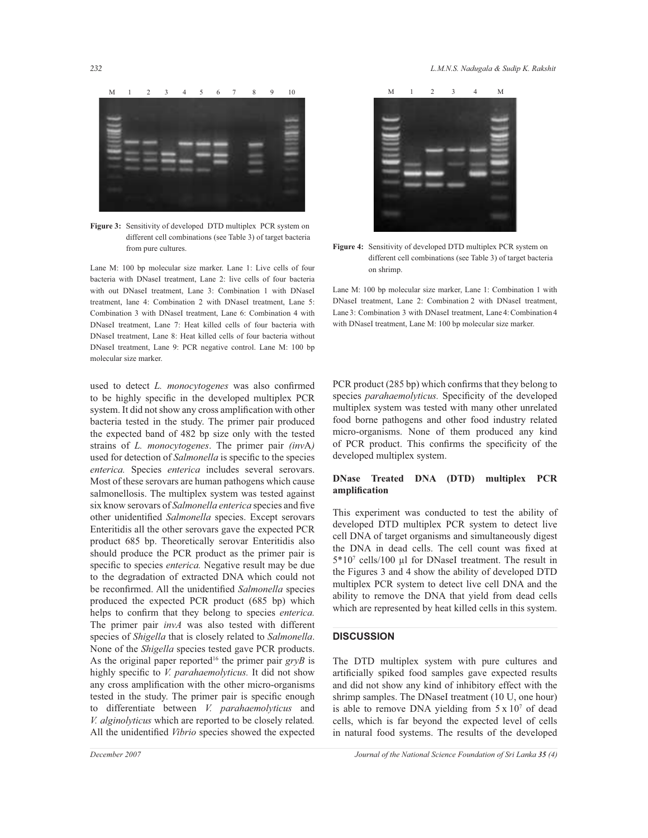

**Figure 3:** Sensitivity of developed DTD multiplex PCR system on different cell combinations (see Table 3) of target bacteria from pure cultures.

Lane M: 100 bp molecular size marker. Lane 1: Live cells of four bacteria with DNaseI treatment, Lane 2: live cells of four bacteria with out DNaseI treatment, Lane 3: Combination 1 with DNaseI treatment, lane 4: Combination 2 with DNaseI treatment, Lane 5: Combination 3 with DNaseI treatment, Lane 6: Combination 4 with DNaseI treatment, Lane 7: Heat killed cells of four bacteria with DNaseI treatment, Lane 8: Heat killed cells of four bacteria without DNaseI treatment, Lane 9: PCR negative control. Lane M: 100 bp molecular size marker.

used to detect *L. monocytogenes* was also confirmed to be highly specific in the developed multiplex PCR system. It did not show any cross amplification with other bacteria tested in the study. The primer pair produced the expected band of 482 bp size only with the tested strains of *L. monocytogenes*. The primer pair *(inv*A*)* used for detection of *Salmonella* is specific to the species *enterica.* Species *enterica* includes several serovars. Most of these serovars are human pathogens which cause salmonellosis. The multiplex system was tested against six know serovars of *Salmonella enterica* species and five other unidentified *Salmonella* species. Except serovars Enteritidis all the other serovars gave the expected PCR product 685 bp. Theoretically serovar Enteritidis also should produce the PCR product as the primer pair is specific to species *enterica.* Negative result may be due to the degradation of extracted DNA which could not be reconfirmed. All the unidentified *Salmonella* species produced the expected PCR product (685 bp) which helps to confirm that they belong to species *enterica.* The primer pair *invA* was also tested with different species of *Shigella* that is closely related to *Salmonella*. None of the *Shigella* species tested gave PCR products. As the original paper reported<sup>16</sup> the primer pair *gryB* is highly specific to *V. parahaemolyticus.* It did not show any cross amplification with the other micro-organisms tested in the study. The primer pair is specific enough to differentiate between *V. parahaemolyticus* and *V. alginolyticus* which are reported to be closely related*.*  All the unidentified *Vibrio* species showed the expected



**Figure 4:** Sensitivity of developed DTD multiplex PCR system on different cell combinations (see Table 3) of target bacteria on shrimp.

Lane M: 100 bp molecular size marker, Lane 1: Combination 1 with DNaseI treatment, Lane 2: Combination 2 with DNaseI treatment, Lane 3: Combination 3 with DNaseI treatment, Lane 4: Combination 4 with DNaseI treatment, Lane M: 100 bp molecular size marker.

PCR product (285 bp) which confirms that they belong to species *parahaemolyticus.* Specificity of the developed multiplex system was tested with many other unrelated food borne pathogens and other food industry related micro-organisms. None of them produced any kind of PCR product. This confirms the specificity of the developed multiplex system.

# **DNase Treated DNA (DTD) multiplex PCR amplification**

This experiment was conducted to test the ability of developed DTD multiplex PCR system to detect live cell DNA of target organisms and simultaneously digest the DNA in dead cells. The cell count was fixed at 5\*10<sup>7</sup> cells/100 µl for DNaseI treatment. The result in the Figures 3 and 4 show the ability of developed DTD multiplex PCR system to detect live cell DNA and the ability to remove the DNA that yield from dead cells which are represented by heat killed cells in this system.

#### **DISCUSSION**

The DTD multiplex system with pure cultures and artificially spiked food samples gave expected results and did not show any kind of inhibitory effect with the shrimp samples. The DNaseI treatment (10 U, one hour) is able to remove DNA yielding from  $5 \times 10^7$  of dead cells, which is far beyond the expected level of cells in natural food systems. The results of the developed